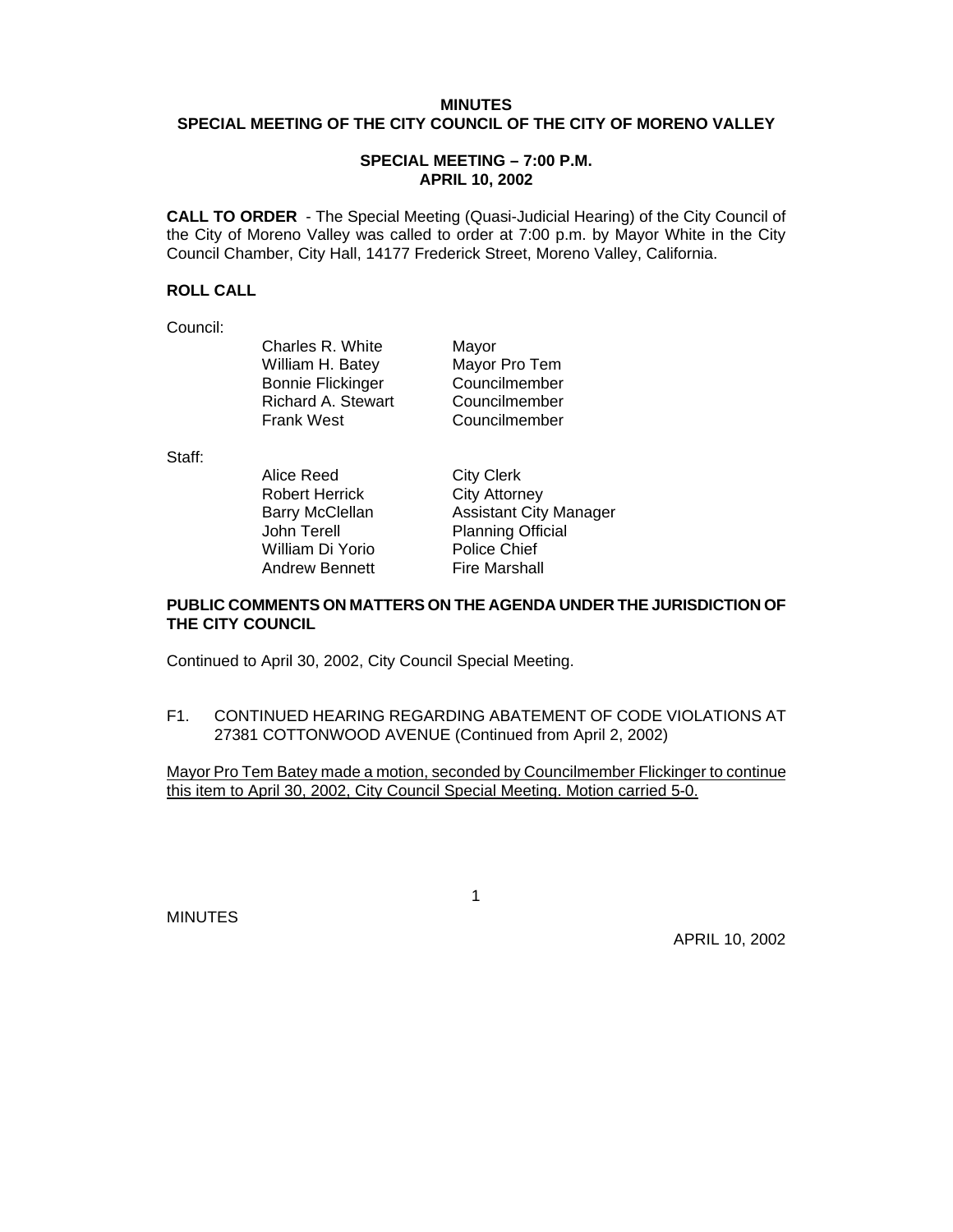# **MINUTES SPECIAL MEETING OF THE CITY COUNCIL OF THE CITY OF MORENO VALLEY**

#### **SPECIAL MEETING – 7:00 P.M. APRIL 10, 2002**

**CALL TO ORDER** - The Special Meeting (Quasi-Judicial Hearing) of the City Council of the City of Moreno Valley was called to order at 7:00 p.m. by Mayor White in the City Council Chamber, City Hall, 14177 Frederick Street, Moreno Valley, California.

### **ROLL CALL**

Council:

Charles R. White Mayor<br>William H. Batey Mayor Pro Tem William H. Batey Bonnie Flickinger Councilmember Richard A. Stewart Councilmember Frank West Councilmember

Staff:

Alice Reed City Clerk Robert Herrick City Attorney John Terell Planning Official William Di Yorio Police Chief Andrew Bennett Fire Marshall

 $\sim$  1

Barry McClellan **Assistant City Manager** 

### **PUBLIC COMMENTS ON MATTERS ON THE AGENDA UNDER THE JURISDICTION OF THE CITY COUNCIL**

Continued to April 30, 2002, City Council Special Meeting.

F1. CONTINUED HEARING REGARDING ABATEMENT OF CODE VIOLATIONS AT 27381 COTTONWOOD AVENUE (Continued from April 2, 2002)

Mayor Pro Tem Batey made a motion, seconded by Councilmember Flickinger to continue this item to April 30, 2002, City Council Special Meeting. Motion carried 5-0.

MINUTES

APRIL 10, 2002